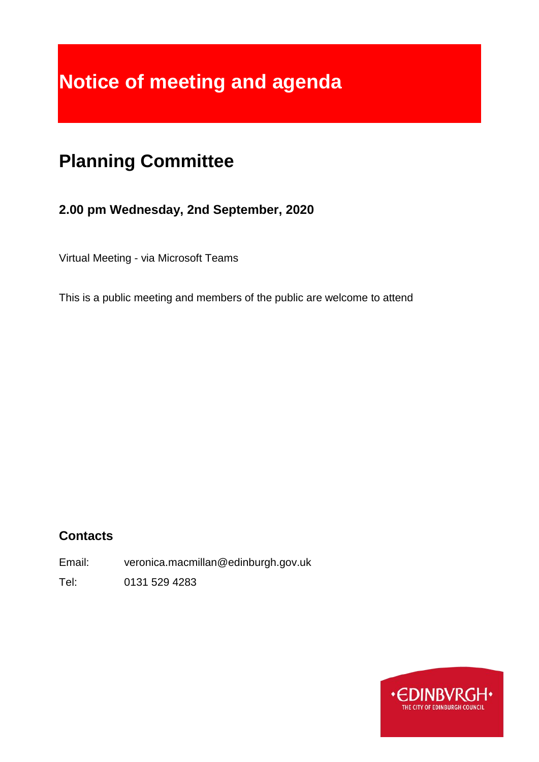# **Notice of meeting and agenda**

## **Planning Committee**

## **2.00 pm Wednesday, 2nd September, 2020**

Virtual Meeting - via Microsoft Teams

This is a public meeting and members of the public are welcome to attend

## **Contacts**

Email: veronica.macmillan@edinburgh.gov.uk

Tel: 0131 529 4283

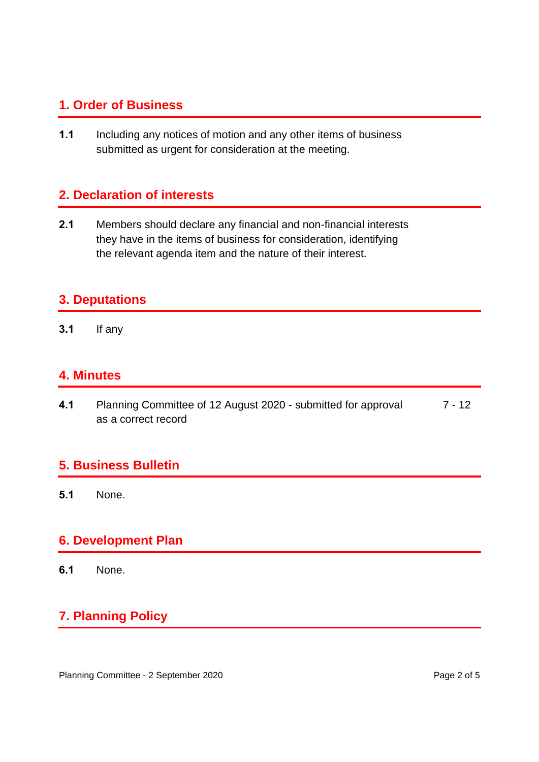#### **1. Order of Business**

**1.1** Including any notices of motion and any other items of business submitted as urgent for consideration at the meeting.

#### **2. Declaration of interests**

**2.1** Members should declare any financial and non-financial interests they have in the items of business for consideration, identifying the relevant agenda item and the nature of their interest.

#### **3. Deputations**

**3.1** If any

#### **4. Minutes**

**4.1** Planning Committee of 12 August 2020 - submitted for approval as a correct record 7 - 12

#### **5. Business Bulletin**

**5.1** None.

#### **6. Development Plan**

**6.1** None.

## **7. Planning Policy**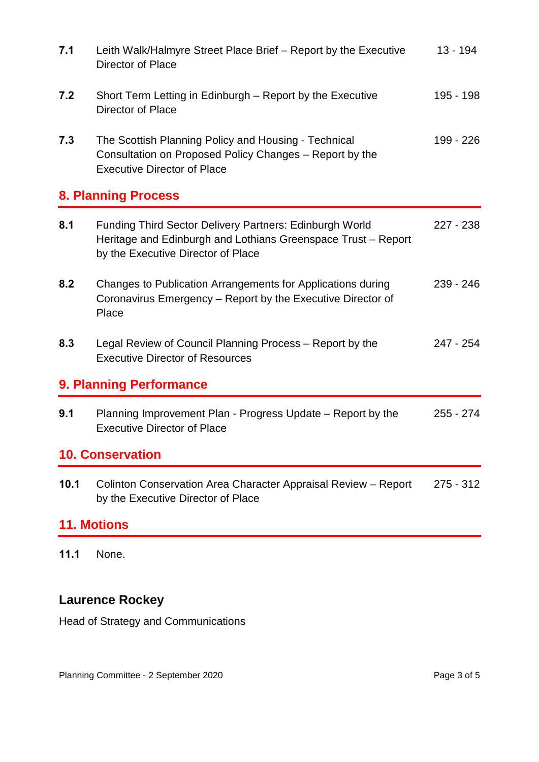| 7.1                | Leith Walk/Halmyre Street Place Brief - Report by the Executive<br>Director of Place                                                                           | $13 - 194$  |
|--------------------|----------------------------------------------------------------------------------------------------------------------------------------------------------------|-------------|
| 7.2                | Short Term Letting in Edinburgh – Report by the Executive<br>Director of Place                                                                                 | 195 - 198   |
| 7.3                | The Scottish Planning Policy and Housing - Technical<br>Consultation on Proposed Policy Changes - Report by the<br><b>Executive Director of Place</b>          | 199 - 226   |
|                    | <b>8. Planning Process</b>                                                                                                                                     |             |
| 8.1                | Funding Third Sector Delivery Partners: Edinburgh World<br>Heritage and Edinburgh and Lothians Greenspace Trust - Report<br>by the Executive Director of Place | $227 - 238$ |
| 8.2                | Changes to Publication Arrangements for Applications during<br>Coronavirus Emergency - Report by the Executive Director of<br>Place                            | $239 - 246$ |
| 8.3                | Legal Review of Council Planning Process - Report by the<br><b>Executive Director of Resources</b>                                                             | 247 - 254   |
|                    | 9. Planning Performance                                                                                                                                        |             |
| 9.1                | Planning Improvement Plan - Progress Update – Report by the<br><b>Executive Director of Place</b>                                                              | $255 - 274$ |
|                    | <b>10. Conservation</b>                                                                                                                                        |             |
| 10.1               | Colinton Conservation Area Character Appraisal Review - Report<br>by the Executive Director of Place                                                           | $275 - 312$ |
| <b>11. Motions</b> |                                                                                                                                                                |             |

**11.1** None.

## **Laurence Rockey**

Head of Strategy and Communications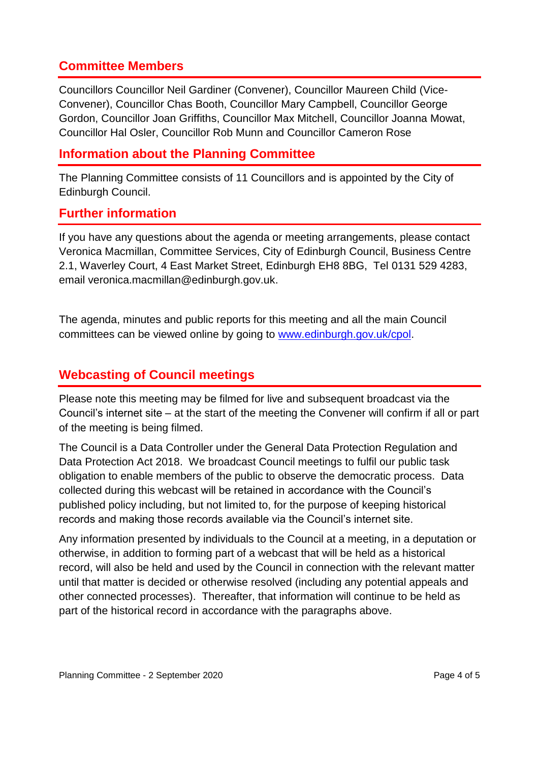#### **Committee Members**

Councillors Councillor Neil Gardiner (Convener), Councillor Maureen Child (Vice-Convener), Councillor Chas Booth, Councillor Mary Campbell, Councillor George Gordon, Councillor Joan Griffiths, Councillor Max Mitchell, Councillor Joanna Mowat, Councillor Hal Osler, Councillor Rob Munn and Councillor Cameron Rose

#### **Information about the Planning Committee**

The Planning Committee consists of 11 Councillors and is appointed by the City of Edinburgh Council.

#### **Further information**

If you have any questions about the agenda or meeting arrangements, please contact Veronica Macmillan, Committee Services, City of Edinburgh Council, Business Centre 2.1, Waverley Court, 4 East Market Street, Edinburgh EH8 8BG, Tel 0131 529 4283, email veronica.macmillan@edinburgh.gov.uk.

The agenda, minutes and public reports for this meeting and all the main Council committees can be viewed online by going to [www.edinburgh.gov.uk/cpol.](http://www.edinburgh.gov.uk/cpol)

#### **Webcasting of Council meetings**

Please note this meeting may be filmed for live and subsequent broadcast via the Council's internet site – at the start of the meeting the Convener will confirm if all or part of the meeting is being filmed.

The Council is a Data Controller under the General Data Protection Regulation and Data Protection Act 2018. We broadcast Council meetings to fulfil our public task obligation to enable members of the public to observe the democratic process. Data collected during this webcast will be retained in accordance with the Council's published policy including, but not limited to, for the purpose of keeping historical records and making those records available via the Council's internet site.

Any information presented by individuals to the Council at a meeting, in a deputation or otherwise, in addition to forming part of a webcast that will be held as a historical record, will also be held and used by the Council in connection with the relevant matter until that matter is decided or otherwise resolved (including any potential appeals and other connected processes). Thereafter, that information will continue to be held as part of the historical record in accordance with the paragraphs above.